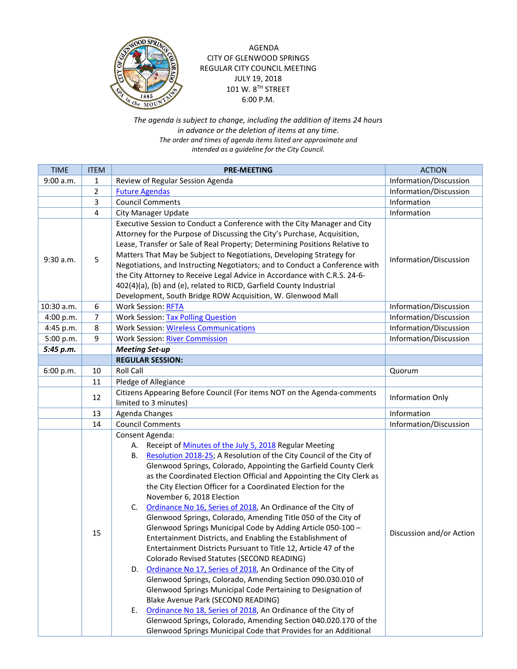

AGENDA CITY OF GLENWOOD SPRINGS REGULAR CITY COUNCIL MEETING JULY 19, 2018 101 W. 8TH STREET 6:00 P.M.

*The agenda is subject to change, including the addition of items 24 hours in advance or the deletion of items at any time. The order and times of agenda items listed are approximate and intended as a guideline for the City Council.*

| <b>TIME</b> | <b>ITEM</b>    | <b>PRE-MEETING</b>                                                                                                                                                                                                                                                                                                                                                                                                                                                                                                                                                                                                                                                                                                                                                                                                                                                                                                                                                                                                                                                                                                                                                                                                                              | <b>ACTION</b>            |
|-------------|----------------|-------------------------------------------------------------------------------------------------------------------------------------------------------------------------------------------------------------------------------------------------------------------------------------------------------------------------------------------------------------------------------------------------------------------------------------------------------------------------------------------------------------------------------------------------------------------------------------------------------------------------------------------------------------------------------------------------------------------------------------------------------------------------------------------------------------------------------------------------------------------------------------------------------------------------------------------------------------------------------------------------------------------------------------------------------------------------------------------------------------------------------------------------------------------------------------------------------------------------------------------------|--------------------------|
| 9:00 a.m.   | 1              | Review of Regular Session Agenda                                                                                                                                                                                                                                                                                                                                                                                                                                                                                                                                                                                                                                                                                                                                                                                                                                                                                                                                                                                                                                                                                                                                                                                                                | Information/Discussion   |
|             | $\overline{2}$ | <b>Future Agendas</b>                                                                                                                                                                                                                                                                                                                                                                                                                                                                                                                                                                                                                                                                                                                                                                                                                                                                                                                                                                                                                                                                                                                                                                                                                           | Information/Discussion   |
|             | 3              | <b>Council Comments</b>                                                                                                                                                                                                                                                                                                                                                                                                                                                                                                                                                                                                                                                                                                                                                                                                                                                                                                                                                                                                                                                                                                                                                                                                                         | Information              |
|             | 4              | <b>City Manager Update</b>                                                                                                                                                                                                                                                                                                                                                                                                                                                                                                                                                                                                                                                                                                                                                                                                                                                                                                                                                                                                                                                                                                                                                                                                                      | Information              |
| $9:30$ a.m. | 5              | Executive Session to Conduct a Conference with the City Manager and City<br>Attorney for the Purpose of Discussing the City's Purchase, Acquisition,<br>Lease, Transfer or Sale of Real Property; Determining Positions Relative to<br>Matters That May be Subject to Negotiations, Developing Strategy for<br>Negotiations, and Instructing Negotiators; and to Conduct a Conference with<br>the City Attorney to Receive Legal Advice in Accordance with C.R.S. 24-6-<br>402(4)(a), (b) and (e), related to RICD, Garfield County Industrial<br>Development, South Bridge ROW Acquisition, W. Glenwood Mall                                                                                                                                                                                                                                                                                                                                                                                                                                                                                                                                                                                                                                   | Information/Discussion   |
| 10:30 a.m.  | 6              | <b>Work Session: RFTA</b>                                                                                                                                                                                                                                                                                                                                                                                                                                                                                                                                                                                                                                                                                                                                                                                                                                                                                                                                                                                                                                                                                                                                                                                                                       | Information/Discussion   |
| 4:00 p.m.   | 7              | <b>Work Session: Tax Polling Question</b>                                                                                                                                                                                                                                                                                                                                                                                                                                                                                                                                                                                                                                                                                                                                                                                                                                                                                                                                                                                                                                                                                                                                                                                                       | Information/Discussion   |
| 4:45 p.m.   | 8              | <b>Work Session: Wireless Communications</b>                                                                                                                                                                                                                                                                                                                                                                                                                                                                                                                                                                                                                                                                                                                                                                                                                                                                                                                                                                                                                                                                                                                                                                                                    | Information/Discussion   |
| 5:00 p.m.   | 9              | <b>Work Session: River Commission</b>                                                                                                                                                                                                                                                                                                                                                                                                                                                                                                                                                                                                                                                                                                                                                                                                                                                                                                                                                                                                                                                                                                                                                                                                           | Information/Discussion   |
| 5:45 p.m.   |                | <b>Meeting Set-up</b>                                                                                                                                                                                                                                                                                                                                                                                                                                                                                                                                                                                                                                                                                                                                                                                                                                                                                                                                                                                                                                                                                                                                                                                                                           |                          |
|             |                | <b>REGULAR SESSION:</b>                                                                                                                                                                                                                                                                                                                                                                                                                                                                                                                                                                                                                                                                                                                                                                                                                                                                                                                                                                                                                                                                                                                                                                                                                         |                          |
| 6:00 p.m.   | 10             | <b>Roll Call</b>                                                                                                                                                                                                                                                                                                                                                                                                                                                                                                                                                                                                                                                                                                                                                                                                                                                                                                                                                                                                                                                                                                                                                                                                                                | Quorum                   |
|             | 11             | Pledge of Allegiance                                                                                                                                                                                                                                                                                                                                                                                                                                                                                                                                                                                                                                                                                                                                                                                                                                                                                                                                                                                                                                                                                                                                                                                                                            |                          |
|             | 12             | Citizens Appearing Before Council (For items NOT on the Agenda-comments<br>limited to 3 minutes)                                                                                                                                                                                                                                                                                                                                                                                                                                                                                                                                                                                                                                                                                                                                                                                                                                                                                                                                                                                                                                                                                                                                                | Information Only         |
|             | 13             | Agenda Changes                                                                                                                                                                                                                                                                                                                                                                                                                                                                                                                                                                                                                                                                                                                                                                                                                                                                                                                                                                                                                                                                                                                                                                                                                                  | Information              |
|             | 14             | <b>Council Comments</b>                                                                                                                                                                                                                                                                                                                                                                                                                                                                                                                                                                                                                                                                                                                                                                                                                                                                                                                                                                                                                                                                                                                                                                                                                         | Information/Discussion   |
|             | 15             | Consent Agenda:<br>Receipt of Minutes of the July 5, 2018 Regular Meeting<br>А.<br>Resolution 2018-25; A Resolution of the City Council of the City of<br>В.<br>Glenwood Springs, Colorado, Appointing the Garfield County Clerk<br>as the Coordinated Election Official and Appointing the City Clerk as<br>the City Election Officer for a Coordinated Election for the<br>November 6, 2018 Election<br>Ordinance No 16, Series of 2018, An Ordinance of the City of<br>C.<br>Glenwood Springs, Colorado, Amending Title 050 of the City of<br>Glenwood Springs Municipal Code by Adding Article 050-100 -<br>Entertainment Districts, and Enabling the Establishment of<br>Entertainment Districts Pursuant to Title 12, Article 47 of the<br>Colorado Revised Statutes (SECOND READING)<br>D. Ordinance No 17, Series of 2018, An Ordinance of the City of<br>Glenwood Springs, Colorado, Amending Section 090.030.010 of<br>Glenwood Springs Municipal Code Pertaining to Designation of<br>Blake Avenue Park (SECOND READING)<br>Ordinance No 18, Series of 2018, An Ordinance of the City of<br>Е.<br>Glenwood Springs, Colorado, Amending Section 040.020.170 of the<br>Glenwood Springs Municipal Code that Provides for an Additional | Discussion and/or Action |